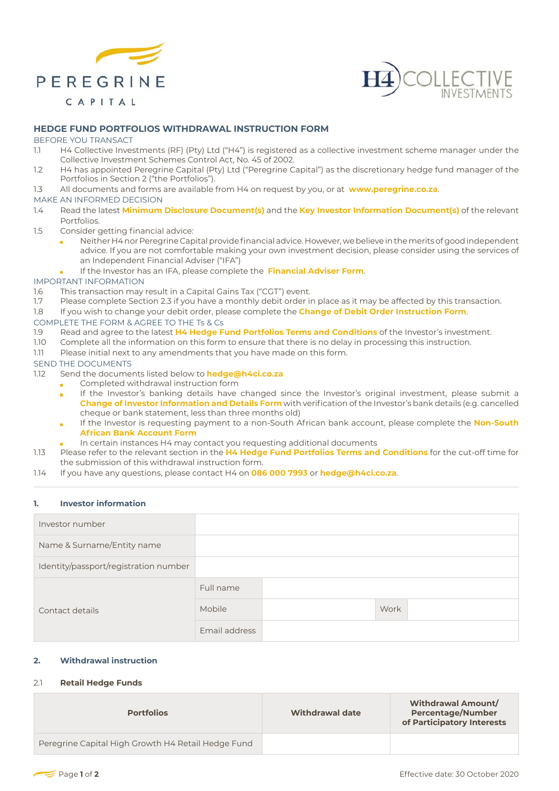



### **HEDGE FUND PORTFOLIOS WITHDRAWAL INSTRUCTION FORM**

#### BEFORE YOU TRANSACT

- 1.1 H4 Collective Investments (RF) (Pty) Ltd ("H4") is registered as a collective investment scheme manager under the Collective Investment Schemes Control Act, No. 45 of 2002.
- 1.2 H4 has appointed Peregrine Capital (Pty) Ltd ("Peregrine Capital") as the discretionary hedge fund manager of the Portfolios in Section 2 ("the Portfolios").
- 1.3 All documents and forms are available from H4 on request by you, or at **www.peregrine.co.za**.

### MAKE AN INFORMED DECISION

- 1.4 Read the latest **Minimum Disclosure Document(s)** and the **Key Investor Information Document(s)** of the relevant Portfolios.
- 1.5 Consider getting financial advice:
	- Neither H4 nor Peregrine Capital provide financial advice. However, we believe in the merits of good independent advice. If you are not comfortable making your own investment decision, please consider using the services of an Independent Financial Adviser ("IFA")
	- If the Investor has an IFA, please complete the **Financial Adviser Form**.

IMPORTANT INFORMATION

- 1.6 This transaction may result in a Capital Gains Tax ("CGT") event.
- 1.7 Please complete Section 2.3 if you have a monthly debit order in place as it may be affected by this transaction.
- 1.8 If you wish to change your debit order, please complete the **Change of Debit Order Instruction Form**.
- COMPLETE THE FORM & AGREE TO THE Ts & Cs
- 1.9 Read and agree to the latest **H4 Hedge Fund Portfolios Terms and Conditions** of the Investor's investment.
- 1.10 Complete all the information on this form to ensure that there is no delay in processing this instruction.
- 1.11 Please initial next to any amendments that you have made on this form.

#### SEND THE DOCUMENTS

- 1.12 Send the documents listed below to **hedge@h4ci.co.za**
	- Completed withdrawal instruction form
	- If the Investor's banking details have changed since the Investor's original investment, please submit a **Change of Investor Information and Details Form** with verification of the Investor's bank details (e.g. cancelled cheque or bank statement, less than three months old)
	- If the Investor is requesting payment to a non-South African bank account, please complete the **Non-South African Bank Account Form**
	- In certain instances H4 may contact you requesting additional documents
- 1.13 Please refer to the relevant section in the **H4 Hedge Fund Portfolios Terms and Conditions** for the cut-off time for the submission of this withdrawal instruction form.
- 1.14 If you have any questions, please contact H4 on **086 000 7993** or **hedge@h4ci.co.za**.

#### **1. Investor information**

| Investor number                       |               |      |  |
|---------------------------------------|---------------|------|--|
| Name & Surname/Entity name            |               |      |  |
| Identity/passport/registration number |               |      |  |
| Contact details                       | Full name     |      |  |
|                                       | Mobile        | Work |  |
|                                       | Email address |      |  |

# **2. Withdrawal instruction**

### 2.1 **Retail Hedge Funds**

| <b>Portfolios</b>                                  | Withdrawal date | <b>Withdrawal Amount/</b><br><b>Percentage/Number</b><br>of Participatory Interests |
|----------------------------------------------------|-----------------|-------------------------------------------------------------------------------------|
| Peregrine Capital High Growth H4 Retail Hedge Fund |                 |                                                                                     |